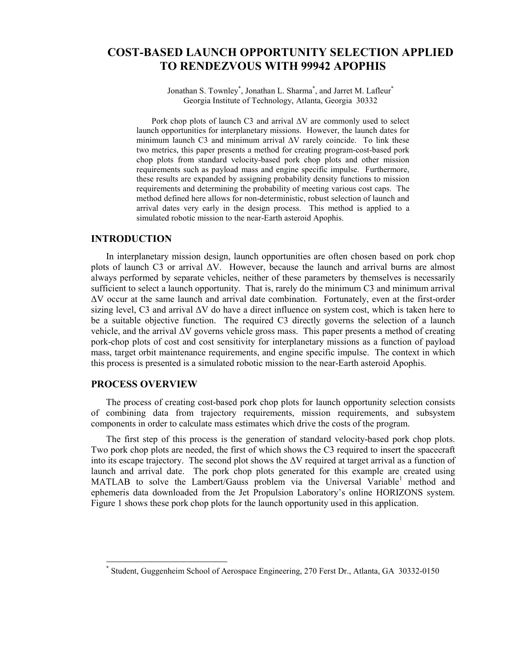# COST-BASED LAUNCH OPPORTUNITY SELECTION APPLIED TO RENDEZVOUS WITH 99942 APOPHIS

Jonathan S. Townley<sup>\*</sup>, Jonathan L. Sharma<sup>\*</sup>, and Jarret M. Lafleur<sup>\*</sup> Georgia Institute of Technology, Atlanta, Georgia 30332

Pork chop plots of launch C3 and arrival ∆V are commonly used to select launch opportunities for interplanetary missions. However, the launch dates for minimum launch C3 and minimum arrival ∆V rarely coincide. To link these two metrics, this paper presents a method for creating program-cost-based pork chop plots from standard velocity-based pork chop plots and other mission requirements such as payload mass and engine specific impulse. Furthermore, these results are expanded by assigning probability density functions to mission requirements and determining the probability of meeting various cost caps. The method defined here allows for non-deterministic, robust selection of launch and arrival dates very early in the design process. This method is applied to a simulated robotic mission to the near-Earth asteroid Apophis.

## INTRODUCTION

In interplanetary mission design, launch opportunities are often chosen based on pork chop plots of launch C3 or arrival ∆V. However, because the launch and arrival burns are almost always performed by separate vehicles, neither of these parameters by themselves is necessarily sufficient to select a launch opportunity. That is, rarely do the minimum C3 and minimum arrival ∆V occur at the same launch and arrival date combination. Fortunately, even at the first-order sizing level, C3 and arrival ∆V do have a direct influence on system cost, which is taken here to be a suitable objective function. The required C3 directly governs the selection of a launch vehicle, and the arrival ∆V governs vehicle gross mass. This paper presents a method of creating pork-chop plots of cost and cost sensitivity for interplanetary missions as a function of payload mass, target orbit maintenance requirements, and engine specific impulse. The context in which this process is presented is a simulated robotic mission to the near-Earth asteroid Apophis.

# PROCESS OVERVIEW

 $\overline{a}$ 

The process of creating cost-based pork chop plots for launch opportunity selection consists of combining data from trajectory requirements, mission requirements, and subsystem components in order to calculate mass estimates which drive the costs of the program.

The first step of this process is the generation of standard velocity-based pork chop plots. Two pork chop plots are needed, the first of which shows the C3 required to insert the spacecraft into its escape trajectory. The second plot shows the ∆V required at target arrival as a function of launch and arrival date. The pork chop plots generated for this example are created using MATLAB to solve the Lambert/Gauss problem via the Universal Variable<sup>1</sup> method and ephemeris data downloaded from the Jet Propulsion Laboratory's online HORIZONS system. Figure 1 shows these pork chop plots for the launch opportunity used in this application.

<sup>\*</sup> Student, Guggenheim School of Aerospace Engineering, 270 Ferst Dr., Atlanta, GA 30332-0150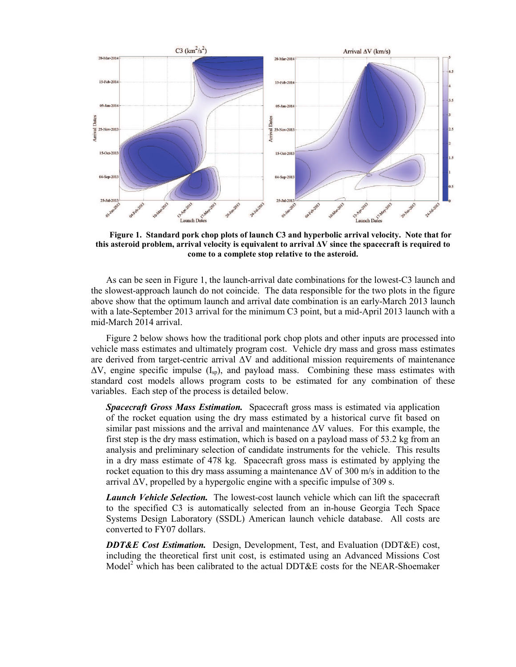

Figure 1. Standard pork chop plots of launch C3 and hyperbolic arrival velocity. Note that for this asteroid problem, arrival velocity is equivalent to arrival ∆V since the spacecraft is required to come to a complete stop relative to the asteroid.

As can be seen in Figure 1, the launch-arrival date combinations for the lowest-C3 launch and the slowest-approach launch do not coincide. The data responsible for the two plots in the figure above show that the optimum launch and arrival date combination is an early-March 2013 launch with a late-September 2013 arrival for the minimum C3 point, but a mid-April 2013 launch with a mid-March 2014 arrival.

Figure 2 below shows how the traditional pork chop plots and other inputs are processed into vehicle mass estimates and ultimately program cost. Vehicle dry mass and gross mass estimates are derived from target-centric arrival ∆V and additional mission requirements of maintenance  $\Delta V$ , engine specific impulse (I<sub>sp</sub>), and payload mass. Combining these mass estimates with standard cost models allows program costs to be estimated for any combination of these variables. Each step of the process is detailed below.

**Spacecraft Gross Mass Estimation.** Spacecraft gross mass is estimated via application of the rocket equation using the dry mass estimated by a historical curve fit based on similar past missions and the arrival and maintenance ∆V values. For this example, the first step is the dry mass estimation, which is based on a payload mass of 53.2 kg from an analysis and preliminary selection of candidate instruments for the vehicle. This results in a dry mass estimate of 478 kg. Spacecraft gross mass is estimated by applying the rocket equation to this dry mass assuming a maintenance ∆V of 300 m/s in addition to the arrival ∆V, propelled by a hypergolic engine with a specific impulse of 309 s.

**Launch Vehicle Selection.** The lowest-cost launch vehicle which can lift the spacecraft to the specified C3 is automatically selected from an in-house Georgia Tech Space Systems Design Laboratory (SSDL) American launch vehicle database. All costs are converted to FY07 dollars.

**DDT&E Cost Estimation.** Design, Development, Test, and Evaluation (DDT&E) cost, including the theoretical first unit cost, is estimated using an Advanced Missions Cost Model<sup>2</sup> which has been calibrated to the actual DDT&E costs for the NEAR-Shoemaker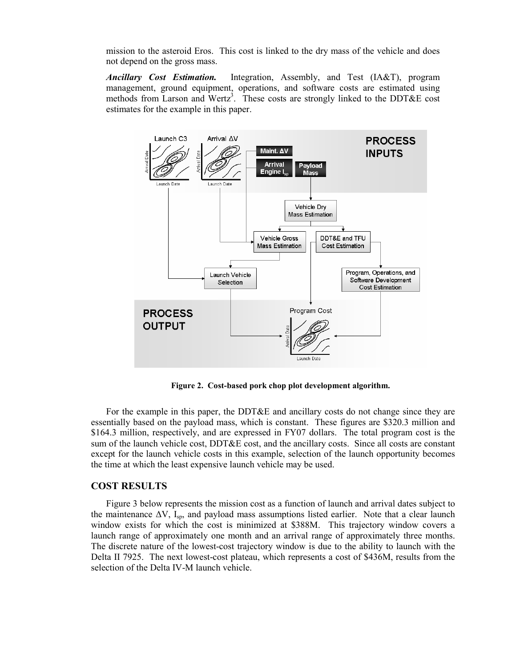mission to the asteroid Eros. This cost is linked to the dry mass of the vehicle and does not depend on the gross mass.

Ancillary Cost Estimation. Integration, Assembly, and Test (IA&T), program management, ground equipment, operations, and software costs are estimated using methods from Larson and Wertz<sup>3</sup>. These costs are strongly linked to the DDT&E cost estimates for the example in this paper.



Figure 2. Cost-based pork chop plot development algorithm.

For the example in this paper, the DDT&E and ancillary costs do not change since they are essentially based on the payload mass, which is constant. These figures are \$320.3 million and \$164.3 million, respectively, and are expressed in FY07 dollars. The total program cost is the sum of the launch vehicle cost, DDT&E cost, and the ancillary costs. Since all costs are constant except for the launch vehicle costs in this example, selection of the launch opportunity becomes the time at which the least expensive launch vehicle may be used.

# COST RESULTS

Figure 3 below represents the mission cost as a function of launch and arrival dates subject to the maintenance  $\Delta V$ , I<sub>sp</sub>, and payload mass assumptions listed earlier. Note that a clear launch window exists for which the cost is minimized at \$388M. This trajectory window covers a launch range of approximately one month and an arrival range of approximately three months. The discrete nature of the lowest-cost trajectory window is due to the ability to launch with the Delta II 7925. The next lowest-cost plateau, which represents a cost of \$436M, results from the selection of the Delta IV-M launch vehicle.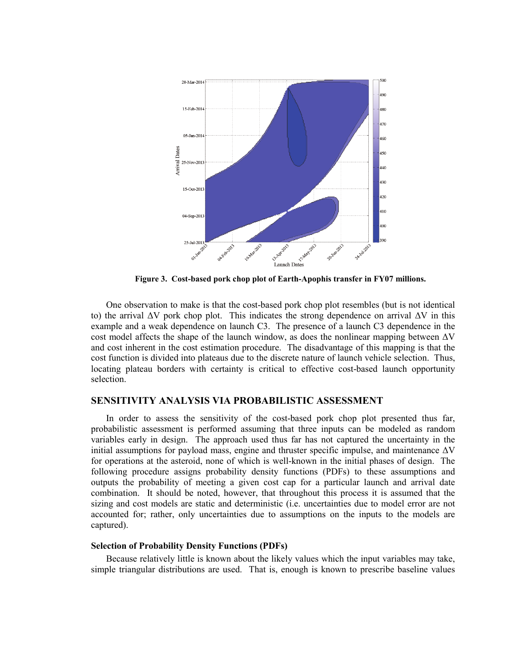

Figure 3. Cost-based pork chop plot of Earth-Apophis transfer in FY07 millions.

One observation to make is that the cost-based pork chop plot resembles (but is not identical to) the arrival ∆V pork chop plot. This indicates the strong dependence on arrival ∆V in this example and a weak dependence on launch C3. The presence of a launch C3 dependence in the cost model affects the shape of the launch window, as does the nonlinear mapping between ∆V and cost inherent in the cost estimation procedure. The disadvantage of this mapping is that the cost function is divided into plateaus due to the discrete nature of launch vehicle selection. Thus, locating plateau borders with certainty is critical to effective cost-based launch opportunity selection.

## SENSITIVITY ANALYSIS VIA PROBABILISTIC ASSESSMENT

In order to assess the sensitivity of the cost-based pork chop plot presented thus far, probabilistic assessment is performed assuming that three inputs can be modeled as random variables early in design. The approach used thus far has not captured the uncertainty in the initial assumptions for payload mass, engine and thruster specific impulse, and maintenance  $\Delta V$ for operations at the asteroid, none of which is well-known in the initial phases of design. The following procedure assigns probability density functions (PDFs) to these assumptions and outputs the probability of meeting a given cost cap for a particular launch and arrival date combination. It should be noted, however, that throughout this process it is assumed that the sizing and cost models are static and deterministic (i.e. uncertainties due to model error are not accounted for; rather, only uncertainties due to assumptions on the inputs to the models are captured).

#### Selection of Probability Density Functions (PDFs)

Because relatively little is known about the likely values which the input variables may take, simple triangular distributions are used. That is, enough is known to prescribe baseline values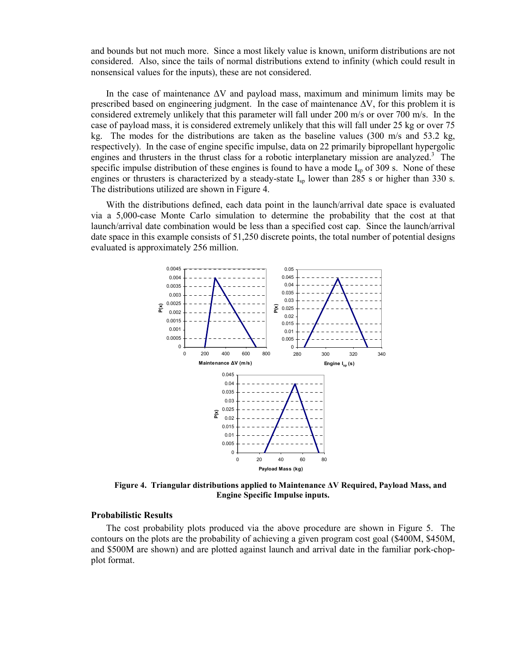and bounds but not much more. Since a most likely value is known, uniform distributions are not considered. Also, since the tails of normal distributions extend to infinity (which could result in nonsensical values for the inputs), these are not considered.

In the case of maintenance ∆V and payload mass, maximum and minimum limits may be prescribed based on engineering judgment. In the case of maintenance ∆V, for this problem it is considered extremely unlikely that this parameter will fall under 200 m/s or over 700 m/s. In the case of payload mass, it is considered extremely unlikely that this will fall under 25 kg or over 75 kg. The modes for the distributions are taken as the baseline values (300 m/s and 53.2 kg, respectively). In the case of engine specific impulse, data on 22 primarily bipropellant hypergolic engines and thrusters in the thrust class for a robotic interplanetary mission are analyzed.<sup>3</sup> The specific impulse distribution of these engines is found to have a mode  $I_{\rm{sp}}$  of 309 s. None of these engines or thrusters is characterized by a steady-state  $I_{sp}$  lower than 285 s or higher than 330 s. The distributions utilized are shown in Figure 4.

With the distributions defined, each data point in the launch/arrival date space is evaluated via a 5,000-case Monte Carlo simulation to determine the probability that the cost at that launch/arrival date combination would be less than a specified cost cap. Since the launch/arrival date space in this example consists of 51,250 discrete points, the total number of potential designs evaluated is approximately 256 million.



Figure 4. Triangular distributions applied to Maintenance ∆V Required, Payload Mass, and Engine Specific Impulse inputs.

#### Probabilistic Results

The cost probability plots produced via the above procedure are shown in Figure 5. The contours on the plots are the probability of achieving a given program cost goal (\$400M, \$450M, and \$500M are shown) and are plotted against launch and arrival date in the familiar pork-chopplot format.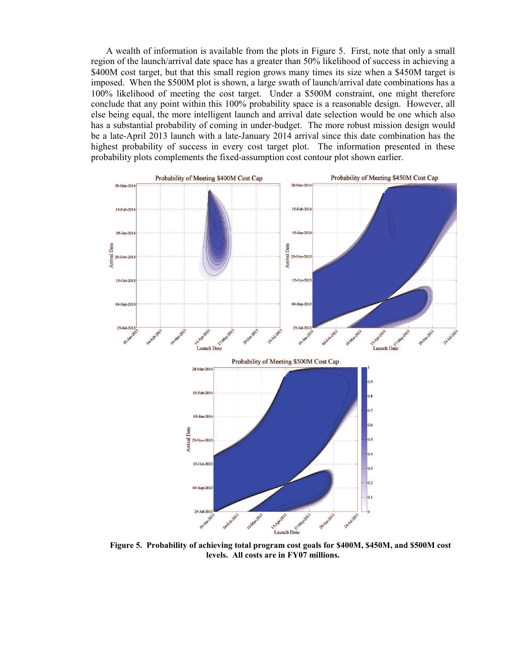A wealth of information is available from the plots in Figure 5. First, note that only a small region of the launch/arrival date space has a greater than 50% likelihood of success in achieving a \$400M cost target, but that this small region grows many times its size when a \$450M target is imposed. When the \$500M plot is shown, a large swath of launch/arrival date combinations has a 100% likelihood of meeting the cost target. Under a \$500M constraint, one might therefore conclude that any point within this 100% probability space is a reasonable design. However, all else being equal, the more intelligent launch and arrival date selection would be one which also has a substantial probability of coming in under-budget. The more robust mission design would be a late-April 2013 launch with a late-January 2014 arrival since this date combination has the highest probability of success in every cost target plot. The information presented in these probability plots complements the fixed-assumption cost contour plot shown earlier.



levels. All costs are in FY07 millions.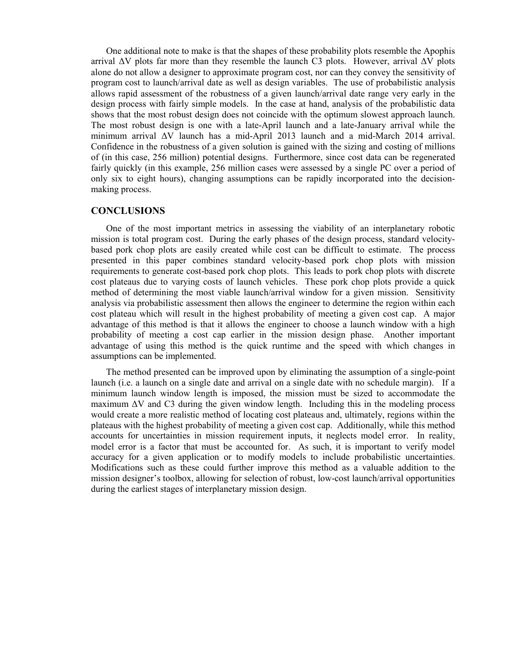One additional note to make is that the shapes of these probability plots resemble the Apophis arrival  $\Delta V$  plots far more than they resemble the launch C3 plots. However, arrival  $\Delta V$  plots alone do not allow a designer to approximate program cost, nor can they convey the sensitivity of program cost to launch/arrival date as well as design variables. The use of probabilistic analysis allows rapid assessment of the robustness of a given launch/arrival date range very early in the design process with fairly simple models. In the case at hand, analysis of the probabilistic data shows that the most robust design does not coincide with the optimum slowest approach launch. The most robust design is one with a late-April launch and a late-January arrival while the minimum arrival ∆V launch has a mid-April 2013 launch and a mid-March 2014 arrival. Confidence in the robustness of a given solution is gained with the sizing and costing of millions of (in this case, 256 million) potential designs. Furthermore, since cost data can be regenerated fairly quickly (in this example, 256 million cases were assessed by a single PC over a period of only six to eight hours), changing assumptions can be rapidly incorporated into the decisionmaking process.

# **CONCLUSIONS**

One of the most important metrics in assessing the viability of an interplanetary robotic mission is total program cost. During the early phases of the design process, standard velocitybased pork chop plots are easily created while cost can be difficult to estimate. The process presented in this paper combines standard velocity-based pork chop plots with mission requirements to generate cost-based pork chop plots. This leads to pork chop plots with discrete cost plateaus due to varying costs of launch vehicles. These pork chop plots provide a quick method of determining the most viable launch/arrival window for a given mission. Sensitivity analysis via probabilistic assessment then allows the engineer to determine the region within each cost plateau which will result in the highest probability of meeting a given cost cap. A major advantage of this method is that it allows the engineer to choose a launch window with a high probability of meeting a cost cap earlier in the mission design phase. Another important advantage of using this method is the quick runtime and the speed with which changes in assumptions can be implemented.

The method presented can be improved upon by eliminating the assumption of a single-point launch (i.e. a launch on a single date and arrival on a single date with no schedule margin). If a minimum launch window length is imposed, the mission must be sized to accommodate the maximum ∆V and C3 during the given window length. Including this in the modeling process would create a more realistic method of locating cost plateaus and, ultimately, regions within the plateaus with the highest probability of meeting a given cost cap. Additionally, while this method accounts for uncertainties in mission requirement inputs, it neglects model error. In reality, model error is a factor that must be accounted for. As such, it is important to verify model accuracy for a given application or to modify models to include probabilistic uncertainties. Modifications such as these could further improve this method as a valuable addition to the mission designer's toolbox, allowing for selection of robust, low-cost launch/arrival opportunities during the earliest stages of interplanetary mission design.